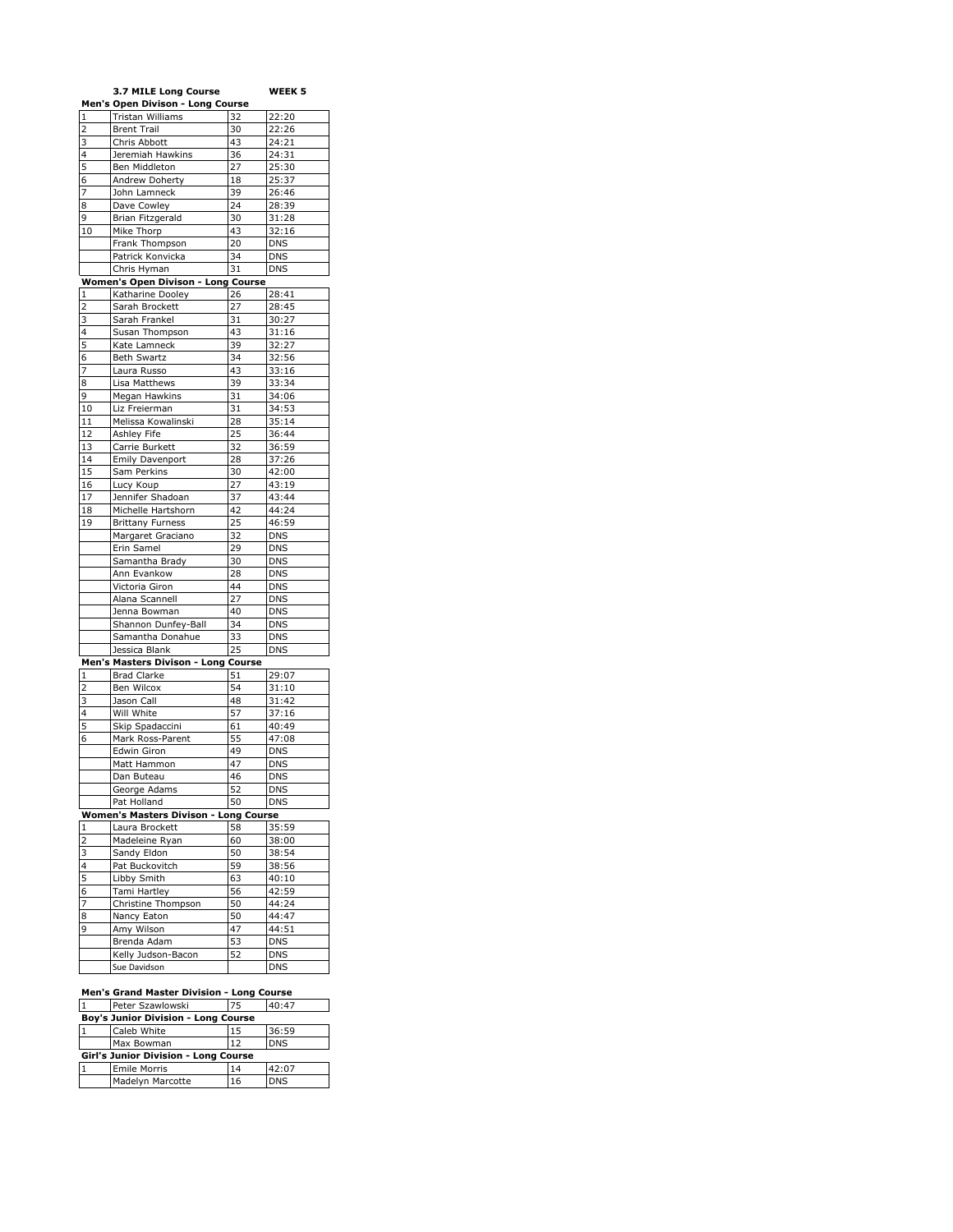|              | 3.7 MILE Long Course                                          |          | WEEK 5         |
|--------------|---------------------------------------------------------------|----------|----------------|
|              | Men's Open Divison - Long Course                              |          |                |
| $\mathbf{1}$ | Tristan Williams                                              | 32       | 22:20          |
| 2            | <b>Brent Trail</b>                                            | 30       | 22:26          |
| 3            | Chris Abbott                                                  | 43       | 24:21          |
| 4            | Jeremiah Hawkins                                              | 36       | 24:31          |
| 5            | Ben Middleton                                                 | 27       | 25:30          |
| 6            | Andrew Doherty                                                | 18       | 25:37          |
| 7            | John Lamneck                                                  | 39       | 26:46          |
| 8            | Dave Cowley                                                   | 24       | 28:39          |
| 9            | Brian Fitzgerald                                              | 30       | 31:28          |
| 10           | Mike Thorp                                                    | 43       | 32:16          |
|              | Frank Thompson                                                | 20       | <b>DNS</b>     |
|              | Patrick Konvicka                                              | 34       | <b>DNS</b>     |
|              | Chris Hyman                                                   | 31       | <b>DNS</b>     |
|              | Women's Open Divison - Long Course                            | 26       |                |
| 1            | Katharine Dooley                                              |          | 28:41<br>28:45 |
| 2            | Sarah Brockett                                                | 27       |                |
| 3<br>4       | Sarah Frankel<br>Susan Thompson                               | 31<br>43 | 30:27          |
| 5            | Kate Lamneck                                                  | 39       | 31:16<br>32:27 |
| 6            | <b>Beth Swartz</b>                                            | 34       | 32:56          |
| 7            | Laura Russo                                                   | 43       | 33:16          |
| 8            | Lisa Matthews                                                 | 39       | 33:34          |
| 9            | Megan Hawkins                                                 | 31       | 34:06          |
| 10           | Liz Freierman                                                 | 31       | 34:53          |
| 11           | Melissa Kowalinski                                            | 28       | 35:14          |
| 12           | Ashley Fife                                                   | 25       | 36:44          |
| 13           | Carrie Burkett                                                | 32       | 36:59          |
| 14           | Emily Davenport                                               | 28       | 37:26          |
| 15           | Sam Perkins                                                   | 30       | 42:00          |
| 16           | Lucy Koup                                                     | 27       | 43:19          |
| 17           | Jennifer Shadoan                                              | 37       | 43:44          |
| 18           | Michelle Hartshorn                                            | 42       | 44:24          |
| 19           | <b>Brittany Furness</b>                                       | 25       | 46:59          |
|              | Margaret Graciano                                             | 32       | <b>DNS</b>     |
|              | Erin Samel                                                    | 29       | <b>DNS</b>     |
|              | Samantha Brady                                                | 30       | <b>DNS</b>     |
|              | Ann Evankow                                                   | 28       | <b>DNS</b>     |
|              | Victoria Giron                                                | 44       | <b>DNS</b>     |
|              | Alana Scannell                                                | 27       | <b>DNS</b>     |
|              | Jenna Bowman                                                  | 40       | <b>DNS</b>     |
|              | Shannon Dunfey-Ball                                           | 34       | <b>DNS</b>     |
|              | Samantha Donahue                                              | 33       | <b>DNS</b>     |
|              | Jessica Blank                                                 | 25       | <b>DNS</b>     |
|              | Men's Masters Divison - Long Course                           |          |                |
| 1            | <b>Brad Clarke</b>                                            | 51       | 29:07          |
| 2            | Ben Wilcox                                                    | 54       | 31:10          |
| 3            | Jason Call                                                    | 48       | 31:42          |
| 4            | Will White                                                    | 57       | 37:16          |
| 5            | Skip Spadaccini                                               | 61       | 40:49          |
| 6            | Mark Ross-Parent                                              | 55       | 47:08          |
|              | Edwin Giron                                                   | 49       | <b>DNS</b>     |
|              | Matt Hammon                                                   | 47       | <b>DNS</b>     |
|              | Dan Buteau                                                    | 46       | <b>DNS</b>     |
|              | George Adams                                                  | 52       | DNS            |
|              | Pat Holland                                                   | 50       | <b>DNS</b>     |
|              | Women's Masters Divison - Long Course                         |          |                |
| 1            | Laura Brockett                                                | 58       | 35:59          |
| 2            | Madeleine Ryan                                                | 60       | 38:00          |
| 3            | Sandy Eldon                                                   | 50       | 38:54          |
| 4            | Pat Buckovitch                                                | 59       | 38:56          |
| 5            | Libby Smith                                                   | 63       | 40:10          |
| 6            | Tami Hartley                                                  | 56       | 42:59          |
| 7            | Christine Thompson                                            | 50       | 44:24          |
| 8            | Nancy Eaton                                                   | 50       | 44:47          |
| 9            | Amy Wilson                                                    | 47       | 44:51          |
|              | Brenda Adam                                                   | 53       | <b>DNS</b>     |
|              | Kelly Judson-Bacon                                            | 52       | <b>DNS</b>     |
|              | Sue Davidson                                                  |          | DNS            |
|              |                                                               |          |                |
| $1 \quad$    | Men's Grand Master Division - Long Course<br>Peter Szawlowski | 75       | 40:47          |
|              | Boy's Junior Division - Long Course                           |          |                |
| 1            | Caleb White                                                   | 15       | 36:59          |
|              | Max Bowman                                                    | 12       | DNS            |
|              | Girl's Junior Division - Long Course                          |          |                |
| $\vert$ 1    | <b>Emile Morris</b>                                           | 14       | 42:07          |

Madelyn Marcotte 16 DNS